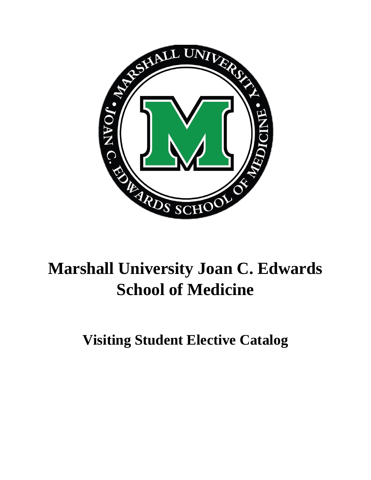

# **Marshall University Joan C. Edwards School of Medicine**

**Visiting Student Elective Catalog**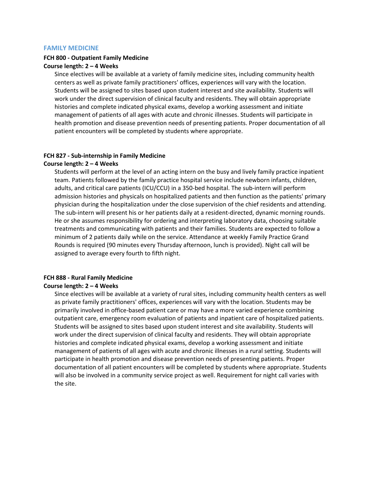# **FAMILY MEDICINE**

# **FCH 800 - Outpatient Family Medicine**

# **Course length: 2 – 4 Weeks**

Since electives will be available at a variety of family medicine sites, including community health centers as well as private family practitioners' offices, experiences will vary with the location. Students will be assigned to sites based upon student interest and site availability. Students will work under the direct supervision of clinical faculty and residents. They will obtain appropriate histories and complete indicated physical exams, develop a working assessment and initiate management of patients of all ages with acute and chronic illnesses. Students will participate in health promotion and disease prevention needs of presenting patients. Proper documentation of all patient encounters will be completed by students where appropriate.

#### **FCH 827 - Sub-internship in Family Medicine**

#### **Course length: 2 – 4 Weeks**

Students will perform at the level of an acting intern on the busy and lively family practice inpatient team. Patients followed by the family practice hospital service include newborn infants, children, adults, and critical care patients (ICU/CCU) in a 350-bed hospital. The sub-intern will perform admission histories and physicals on hospitalized patients and then function as the patients' primary physician during the hospitalization under the close supervision of the chief residents and attending. The sub-intern will present his or her patients daily at a resident-directed, dynamic morning rounds. He or she assumes responsibility for ordering and interpreting laboratory data, choosing suitable treatments and communicating with patients and their families. Students are expected to follow a minimum of 2 patients daily while on the service. Attendance at weekly Family Practice Grand Rounds is required (90 minutes every Thursday afternoon, lunch is provided). Night call will be assigned to average every fourth to fifth night.

# **FCH 888 - Rural Family Medicine**

# **Course length: 2 – 4 Weeks**

Since electives will be available at a variety of rural sites, including community health centers as well as private family practitioners' offices, experiences will vary with the location. Students may be primarily involved in office-based patient care or may have a more varied experience combining outpatient care, emergency room evaluation of patients and inpatient care of hospitalized patients. Students will be assigned to sites based upon student interest and site availability. Students will work under the direct supervision of clinical faculty and residents. They will obtain appropriate histories and complete indicated physical exams, develop a working assessment and initiate management of patients of all ages with acute and chronic illnesses in a rural setting. Students will participate in health promotion and disease prevention needs of presenting patients. Proper documentation of all patient encounters will be completed by students where appropriate. Students will also be involved in a community service project as well. Requirement for night call varies with the site.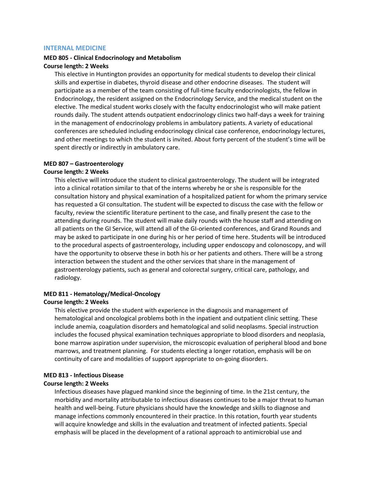#### **INTERNAL MEDICINE**

# **MED 805 - Clinical Endocrinology and Metabolism**

# **Course length: 2 Weeks**

This elective in Huntington provides an opportunity for medical students to develop their clinical skills and expertise in diabetes, thyroid disease and other endocrine diseases. The student will participate as a member of the team consisting of full-time faculty endocrinologists, the fellow in Endocrinology, the resident assigned on the Endocrinology Service, and the medical student on the elective. The medical student works closely with the faculty endocrinologist who will make patient rounds daily. The student attends outpatient endocrinology clinics two half-days a week for training in the management of endocrinology problems in ambulatory patients. A variety of educational conferences are scheduled including endocrinology clinical case conference, endocrinology lectures, and other meetings to which the student is invited. About forty percent of the student's time will be spent directly or indirectly in ambulatory care.

# **MED 807 – Gastroenterology**

#### **Course length: 2 Weeks**

This elective will introduce the student to clinical gastroenterology. The student will be integrated into a clinical rotation similar to that of the interns whereby he or she is responsible for the consultation history and physical examination of a hospitalized patient for whom the primary service has requested a GI consultation. The student will be expected to discuss the case with the fellow or faculty, review the scientific literature pertinent to the case, and finally present the case to the attending during rounds. The student will make daily rounds with the house staff and attending on all patients on the GI Service, will attend all of the GI-oriented conferences, and Grand Rounds and may be asked to participate in one during his or her period of time here. Students will be introduced to the procedural aspects of gastroenterology, including upper endoscopy and colonoscopy, and will have the opportunity to observe these in both his or her patients and others. There will be a strong interaction between the student and the other services that share in the management of gastroenterology patients, such as general and colorectal surgery, critical care, pathology, and radiology.

# **MED 811 - Hematology/Medical-Oncology**

#### **Course length: 2 Weeks**

This elective provide the student with experience in the diagnosis and management of hematological and oncological problems both in the inpatient and outpatient clinic setting. These include anemia, coagulation disorders and hematological and solid neoplasms. Special instruction includes the focused physical examination techniques appropriate to blood disorders and neoplasia, bone marrow aspiration under supervision, the microscopic evaluation of peripheral blood and bone marrows, and treatment planning. For students electing a longer rotation, emphasis will be on continuity of care and modalities of support appropriate to on-going disorders.

### **MED 813 - Infectious Disease**

### **Course length: 2 Weeks**

Infectious diseases have plagued mankind since the beginning of time. In the 21st century, the morbidity and mortality attributable to infectious diseases continues to be a major threat to human health and well-being. Future physicians should have the knowledge and skills to diagnose and manage infections commonly encountered in their practice. In this rotation, fourth year students will acquire knowledge and skills in the evaluation and treatment of infected patients. Special emphasis will be placed in the development of a rational approach to antimicrobial use and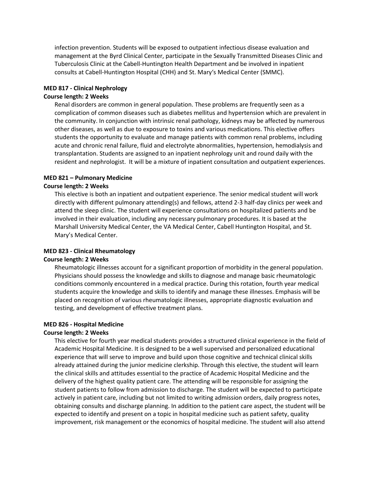infection prevention. Students will be exposed to outpatient infectious disease evaluation and management at the Byrd Clinical Center, participate in the Sexually Transmitted Diseases Clinic and Tuberculosis Clinic at the Cabell-Huntington Health Department and be involved in inpatient consults at Cabell-Huntington Hospital (CHH) and St. Mary's Medical Center (SMMC).

# **MED 817 - Clinical Nephrology**

# **Course length: 2 Weeks**

Renal disorders are common in general population. These problems are frequently seen as a complication of common diseases such as diabetes mellitus and hypertension which are prevalent in the community. In conjunction with intrinsic renal pathology, kidneys may be affected by numerous other diseases, as well as due to exposure to toxins and various medications. This elective offers students the opportunity to evaluate and manage patients with common renal problems, including acute and chronic renal failure, fluid and electrolyte abnormalities, hypertension, hemodialysis and transplantation. Students are assigned to an inpatient nephrology unit and round daily with the resident and nephrologist. It will be a mixture of inpatient consultation and outpatient experiences.

# **MED 821 – Pulmonary Medicine**

# **Course length: 2 Weeks**

This elective is both an inpatient and outpatient experience. The senior medical student will work directly with different pulmonary attending(s) and fellows, attend 2-3 half-day clinics per week and attend the sleep clinic. The student will experience consultations on hospitalized patients and be involved in their evaluation, including any necessary pulmonary procedures. It is based at the Marshall University Medical Center, the VA Medical Center, Cabell Huntington Hospital, and St. Mary's Medical Center.

# **MED 823 - Clinical Rheumatology**

#### **Course length: 2 Weeks**

Rheumatologic illnesses account for a significant proportion of morbidity in the general population. Physicians should possess the knowledge and skills to diagnose and manage basic rheumatologic conditions commonly encountered in a medical practice. During this rotation, fourth year medical students acquire the knowledge and skills to identify and manage these illnesses. Emphasis will be placed on recognition of various rheumatologic illnesses, appropriate diagnostic evaluation and testing, and development of effective treatment plans.

# **MED 826 - Hospital Medicine**

#### **Course length: 2 Weeks**

This elective for fourth year medical students provides a structured clinical experience in the field of Academic Hospital Medicine. It is designed to be a well supervised and personalized educational experience that will serve to improve and build upon those cognitive and technical clinical skills already attained during the junior medicine clerkship. Through this elective, the student will learn the clinical skills and attitudes essential to the practice of Academic Hospital Medicine and the delivery of the highest quality patient care. The attending will be responsible for assigning the student patients to follow from admission to discharge. The student will be expected to participate actively in patient care, including but not limited to writing admission orders, daily progress notes, obtaining consults and discharge planning. In addition to the patient care aspect, the student will be expected to identify and present on a topic in hospital medicine such as patient safety, quality improvement, risk management or the economics of hospital medicine. The student will also attend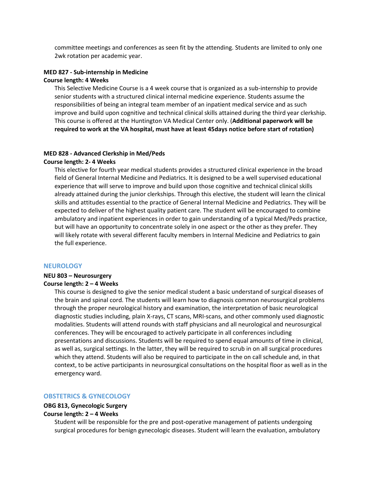committee meetings and conferences as seen fit by the attending. Students are limited to only one 2wk rotation per academic year.

# **MED 827 - Sub-internship in Medicine**

# **Course length: 4 Weeks**

This Selective Medicine Course is a 4 week course that is organized as a sub-internship to provide senior students with a structured clinical internal medicine experience. Students assume the responsibilities of being an integral team member of an inpatient medical service and as such improve and build upon cognitive and technical clinical skills attained during the third year clerkship. This course is offered at the Huntington VA Medical Center only. (**Additional paperwork will be required to work at the VA hospital, must have at least 45days notice before start of rotation)**

#### **MED 828 - Advanced Clerkship in Med/Peds**

#### **Course length: 2- 4 Weeks**

This elective for fourth year medical students provides a structured clinical experience in the broad field of General Internal Medicine and Pediatrics. It is designed to be a well supervised educational experience that will serve to improve and build upon those cognitive and technical clinical skills already attained during the junior clerkships. Through this elective, the student will learn the clinical skills and attitudes essential to the practice of General Internal Medicine and Pediatrics. They will be expected to deliver of the highest quality patient care. The student will be encouraged to combine ambulatory and inpatient experiences in order to gain understanding of a typical Med/Peds practice, but will have an opportunity to concentrate solely in one aspect or the other as they prefer. They will likely rotate with several different faculty members in Internal Medicine and Pediatrics to gain the full experience.

#### **NEUROLOGY**

#### **NEU 803 – Neurosurgery**

# **Course length: 2 – 4 Weeks**

This course is designed to give the senior medical student a basic understand of surgical diseases of the brain and spinal cord. The students will learn how to diagnosis common neurosurgical problems through the proper neurological history and examination, the interpretation of basic neurological diagnostic studies including, plain X-rays, CT scans, MRI-scans, and other commonly used diagnostic modalities. Students will attend rounds with staff physicians and all neurological and neurosurgical conferences. They will be encouraged to actively participate in all conferences including presentations and discussions. Students will be required to spend equal amounts of time in clinical, as well as, surgical settings. In the latter, they will be required to scrub in on all surgical procedures which they attend. Students will also be required to participate in the on call schedule and, in that context, to be active participants in neurosurgical consultations on the hospital floor as well as in the emergency ward.

#### **OBSTETRICS & GYNECOLOGY**

### **OBG 813, Gynecologic Surgery**

# **Course length: 2 – 4 Weeks**

Student will be responsible for the pre and post-operative management of patients undergoing surgical procedures for benign gynecologic diseases. Student will learn the evaluation, ambulatory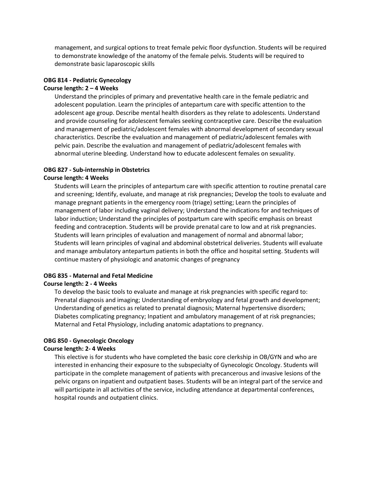management, and surgical options to treat female pelvic floor dysfunction. Students will be required to demonstrate knowledge of the anatomy of the female pelvis. Students will be required to demonstrate basic laparoscopic skills

# **OBG 814 - Pediatric Gynecology**

# **Course length: 2 – 4 Weeks**

Understand the principles of primary and preventative health care in the female pediatric and adolescent population. Learn the principles of antepartum care with specific attention to the adolescent age group. Describe mental health disorders as they relate to adolescents. Understand and provide counseling for adolescent females seeking contraceptive care. Describe the evaluation and management of pediatric/adolescent females with abnormal development of secondary sexual characteristics. Describe the evaluation and management of pediatric/adolescent females with pelvic pain. Describe the evaluation and management of pediatric/adolescent females with abnormal uterine bleeding. Understand how to educate adolescent females on sexuality.

# **OBG 827 - Sub-internship in Obstetrics**

# **Course length: 4 Weeks**

Students will Learn the principles of antepartum care with specific attention to routine prenatal care and screening; Identify, evaluate, and manage at risk pregnancies; Develop the tools to evaluate and manage pregnant patients in the emergency room (triage) setting; Learn the principles of management of labor including vaginal delivery; Understand the indications for and techniques of labor induction; Understand the principles of postpartum care with specific emphasis on breast feeding and contraception. Students will be provide prenatal care to low and at risk pregnancies. Students will learn principles of evaluation and management of normal and abnormal labor; Students will learn principles of vaginal and abdominal obstetrical deliveries. Students will evaluate and manage ambulatory antepartum patients in both the office and hospital setting. Students will continue mastery of physiologic and anatomic changes of pregnancy

# **OBG 835 - Maternal and Fetal Medicine**

# **Course length: 2 - 4 Weeks**

To develop the basic tools to evaluate and manage at risk pregnancies with specific regard to: Prenatal diagnosis and imaging; Understanding of embryology and fetal growth and development; Understanding of genetics as related to prenatal diagnosis; Maternal hypertensive disorders; Diabetes complicating pregnancy; Inpatient and ambulatory management of at risk pregnancies; Maternal and Fetal Physiology, including anatomic adaptations to pregnancy.

# **OBG 850 - Gynecologic Oncology**

# **Course length: 2- 4 Weeks**

This elective is for students who have completed the basic core clerkship in OB/GYN and who are interested in enhancing their exposure to the subspecialty of Gynecologic Oncology. Students will participate in the complete management of patients with precancerous and invasive lesions of the pelvic organs on inpatient and outpatient bases. Students will be an integral part of the service and will participate in all activities of the service, including attendance at departmental conferences, hospital rounds and outpatient clinics.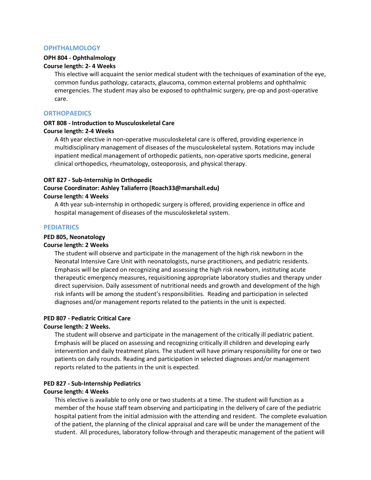# **OPHTHALMOLOGY**

# **OPH 804 - Ophthalmology**

# **Course length: 2- 4 Weeks**

This elective will acquaint the senior medical student with the techniques of examination of the eye, common fundus pathology, cataracts, glaucoma, common external problems and ophthalmic emergencies. The student may also be exposed to ophthalmic surgery, pre-op and post-operative care.

# **ORTHOPAEDICS**

# **ORT 808 - Introduction to Musculoskeletal Care Course length: 2-4 Weeks**

A 4th year elective in non-operative musculoskeletal care is offered, providing experience in multidisciplinary management of diseases of the musculoskeletal system. Rotations may include inpatient medical management of orthopedic patients, non-operative sports medicine, general clinical orthopedics, rheumatology, osteoporosis, and physical therapy.

#### **ORT 827 - Sub-Internship In Orthopedic**

# **Course Coordinator: Ashley Taliaferro (Roach33@marshall.edu)**

# **Course length: 4 Weeks**

A 4th year sub-internship in orthopedic surgery is offered, providing experience in office and hospital management of diseases of the musculoskeletal system.

#### **PEDIATRICS**

# **PED 805, Neonatology**

#### **Course length: 2 Weeks**

The student will observe and participate in the management of the high risk newborn in the Neonatal Intensive Care Unit with neonatologists, nurse practitioners, and pediatric residents. Emphasis will be placed on recognizing and assessing the high risk newborn, instituting acute therapeutic emergency measures, requisitioning appropriate laboratory studies and therapy under direct supervision. Daily assessment of nutritional needs and growth and development of the high risk infants will be among the student's responsibilities. Reading and participation in selected diagnoses and/or management reports related to the patients in the unit is expected.

# **PED 807 - Pediatric Critical Care**

# **Course length: 2 Weeks.**

The student will observe and participate in the management of the critically ill pediatric patient. Emphasis will be placed on assessing and recognizing critically ill children and developing early intervention and daily treatment plans. The student will have primary responsibility for one or two patients on daily rounds. Reading and participation in selected diagnoses and/or management reports related to the patients in the unit is expected.

# **PED 827 - Sub-Internship Pediatrics**

#### **Course length: 4 Weeks**

This elective is available to only one or two students at a time. The student will function as a member of the house staff team observing and participating in the delivery of care of the pediatric hospital patient from the initial admission with the attending and resident. The complete evaluation of the patient, the planning of the clinical appraisal and care will be under the management of the student. All procedures, laboratory follow-through and therapeutic management of the patient will